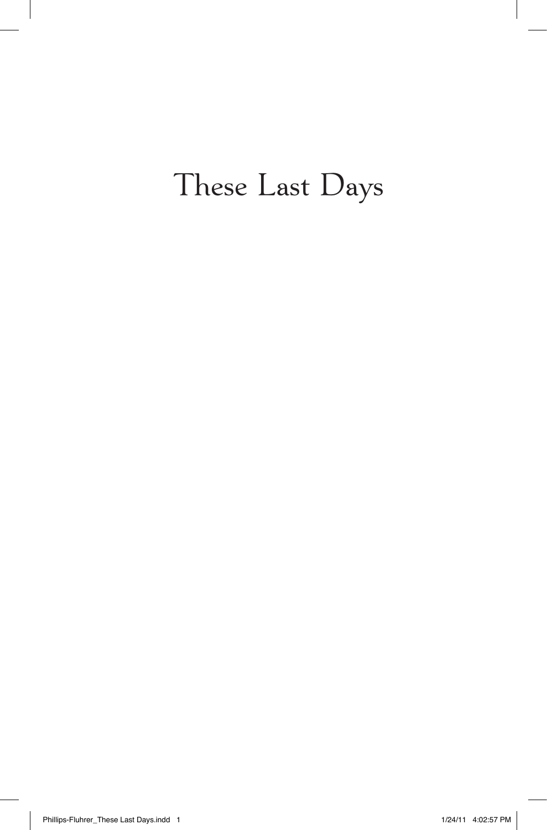# These Last Days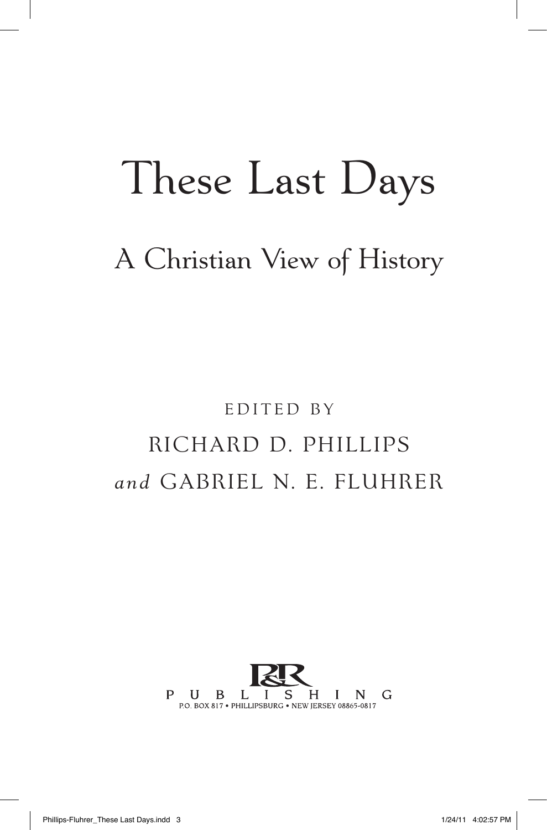# These Last Days

# A Christian View of History

# EDITED BY Richard D. Phillips *and* Gabriel N. E. Fluhrer

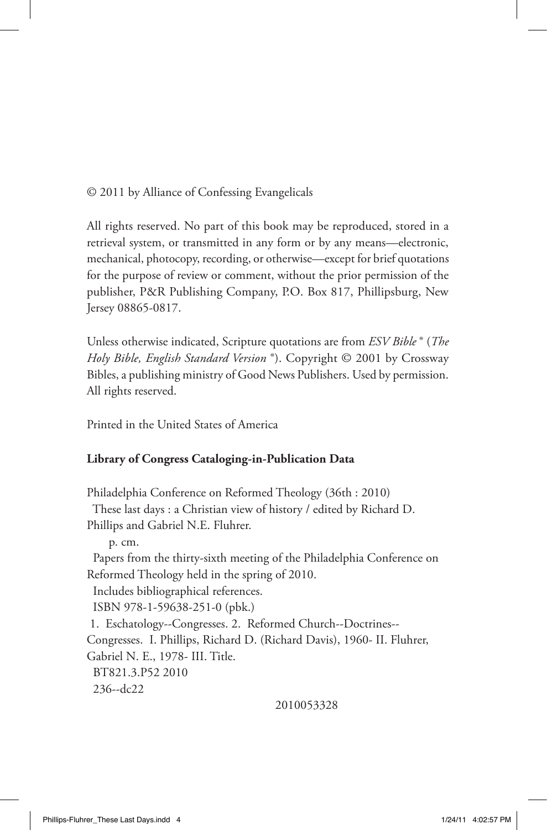© 2011 by Alliance of Confessing Evangelicals

All rights reserved. No part of this book may be reproduced, stored in a retrieval system, or transmitted in any form or by any means—electronic, mechanical, photocopy, recording, or otherwise—except for brief quotations for the purpose of review or comment, without the prior permission of the publisher, P&R Publishing Company, P.O. Box 817, Phillipsburg, New Jersey 08865-0817.

Unless otherwise indicated, Scripture quotations are from *ESV Bible* ® (*The Holy Bible, English Standard Version* ®). Copyright © 2001 by Crossway Bibles, a publishing ministry of Good News Publishers. Used by permission. All rights reserved.

Printed in the United States of America

## **Library of Congress Cataloging-in-Publication Data**

Philadelphia Conference on Reformed Theology (36th : 2010) These last days : a Christian view of history / edited by Richard D. Phillips and Gabriel N.E. Fluhrer. p. cm. Papers from the thirty-sixth meeting of the Philadelphia Conference on Reformed Theology held in the spring of 2010. Includes bibliographical references. ISBN 978-1-59638-251-0 (pbk.) 1. Eschatology--Congresses. 2. Reformed Church--Doctrines-- Congresses. I. Phillips, Richard D. (Richard Davis), 1960- II. Fluhrer, Gabriel N. E., 1978- III. Title. BT821.3.P52 2010 236--dc22

2010053328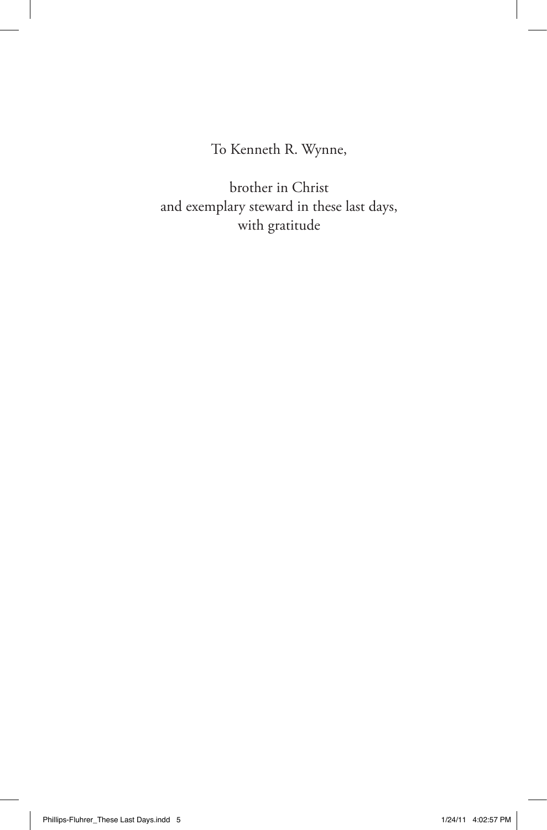To Kenneth R. Wynne,

brother in Christ and exemplary steward in these last days, with gratitude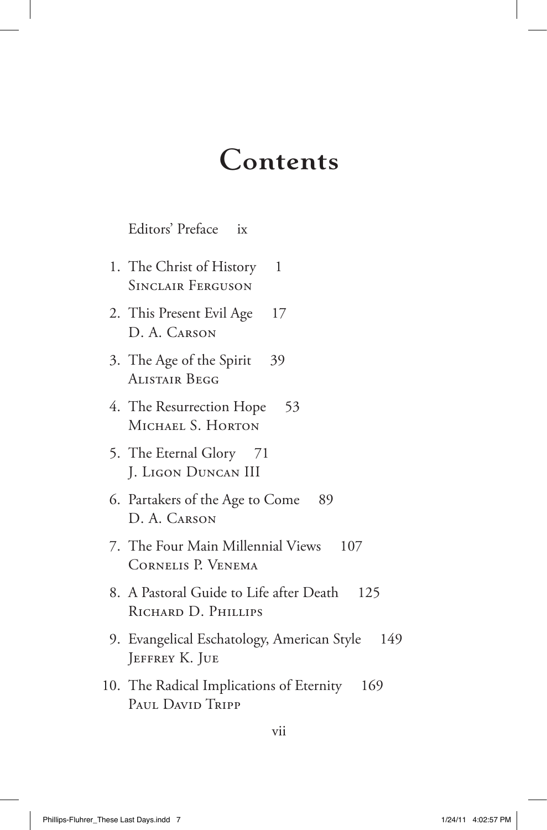# **Contents**

Editors' Preface ix

- 1. The Christ of History 1 Sinclair Ferguson
- 2. This Present Evil Age 17 D. A. Carson
- 3. The Age of the Spirit 39 Alistair Begg
- 4. The Resurrection Hope 53 MICHAEL S. HORTON
- 5. The Eternal Glory 71 J. Ligon Duncan III
- 6. Partakers of the Age to Come 89 D. A. Carson
- 7. The Four Main Millennial Views 107 Cornelis P. Venema
- 8. A Pastoral Guide to Life after Death 125 RICHARD D. PHILLIPS
- 9. Evangelical Eschatology, American Style 149 Jeffrey K. Jue
- 10. The Radical Implications of Eternity 169 PAUL DAVID TRIPP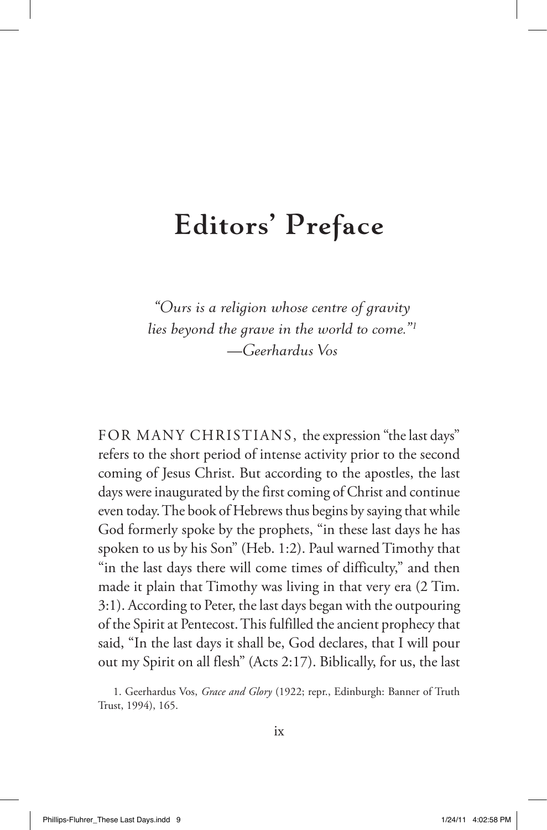# **Editors' Preface**

*"Ours is a religion whose centre of gravity lies beyond the grave in the world to come."1 —Geerhardus Vos*

FOR MANY CHRISTIANS, the expression "the last days" refers to the short period of intense activity prior to the second coming of Jesus Christ. But according to the apostles, the last days were inaugurated by the first coming of Christ and continue even today. The book of Hebrews thus begins by saying that while God formerly spoke by the prophets, "in these last days he has spoken to us by his Son" (Heb. 1:2). Paul warned Timothy that "in the last days there will come times of difficulty," and then made it plain that Timothy was living in that very era (2 Tim. 3:1). According to Peter, the last days began with the outpouring of the Spirit at Pentecost. This fulfilled the ancient prophecy that said, "In the last days it shall be, God declares, that I will pour out my Spirit on all flesh" (Acts 2:17). Biblically, for us, the last

<sup>1.</sup> Geerhardus Vos, *Grace and Glory* (1922; repr., Edinburgh: Banner of Truth Trust, 1994), 165.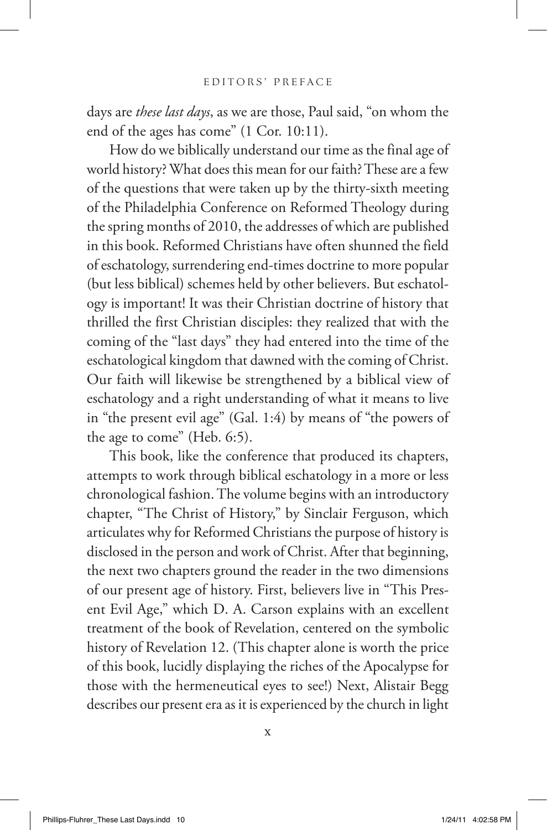days are *these last days*, as we are those, Paul said, "on whom the end of the ages has come" (1 Cor. 10:11).

How do we biblically understand our time as the final age of world history? What does this mean for our faith? These are a few of the questions that were taken up by the thirty-sixth meeting of the Philadelphia Conference on Reformed Theology during the spring months of 2010, the addresses of which are published in this book. Reformed Christians have often shunned the field of eschatology, surrendering end-times doctrine to more popular (but less biblical) schemes held by other believers. But eschatology is important! It was their Christian doctrine of history that thrilled the first Christian disciples: they realized that with the coming of the "last days" they had entered into the time of the eschatological kingdom that dawned with the coming of Christ. Our faith will likewise be strengthened by a biblical view of eschatology and a right understanding of what it means to live in "the present evil age" (Gal. 1:4) by means of "the powers of the age to come" (Heb. 6:5).

This book, like the conference that produced its chapters, attempts to work through biblical eschatology in a more or less chronological fashion. The volume begins with an introductory chapter, "The Christ of History," by Sinclair Ferguson, which articulates why for Reformed Christians the purpose of history is disclosed in the person and work of Christ. After that beginning, the next two chapters ground the reader in the two dimensions of our present age of history. First, believers live in "This Present Evil Age," which D. A. Carson explains with an excellent treatment of the book of Revelation, centered on the symbolic history of Revelation 12. (This chapter alone is worth the price of this book, lucidly displaying the riches of the Apocalypse for those with the hermeneutical eyes to see!) Next, Alistair Begg describes our present era as it is experienced by the church in light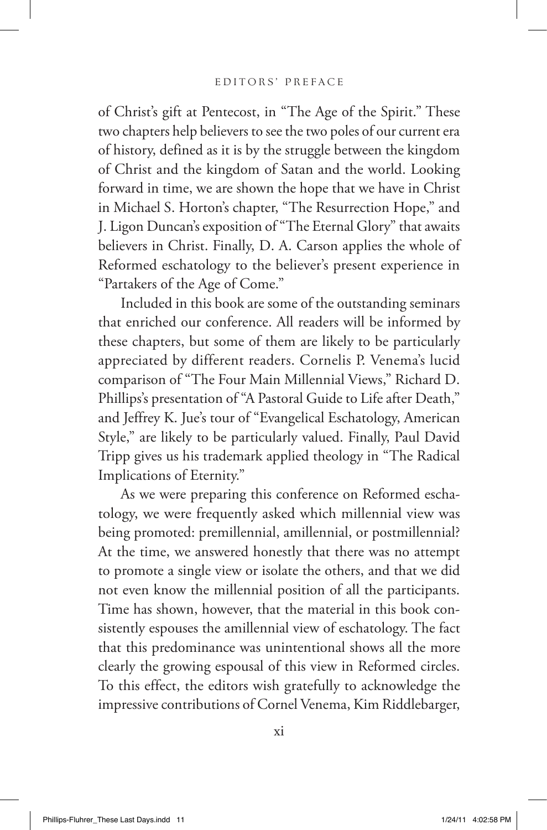of Christ's gift at Pentecost, in "The Age of the Spirit." These two chapters help believers to see the two poles of our current era of history, defined as it is by the struggle between the kingdom of Christ and the kingdom of Satan and the world. Looking forward in time, we are shown the hope that we have in Christ in Michael S. Horton's chapter, "The Resurrection Hope," and J. Ligon Duncan's exposition of "The Eternal Glory" that awaits believers in Christ. Finally, D. A. Carson applies the whole of Reformed eschatology to the believer's present experience in "Partakers of the Age of Come."

Included in this book are some of the outstanding seminars that enriched our conference. All readers will be informed by these chapters, but some of them are likely to be particularly appreciated by different readers. Cornelis P. Venema's lucid comparison of "The Four Main Millennial Views," Richard D. Phillips's presentation of "A Pastoral Guide to Life after Death," and Jeffrey K. Jue's tour of "Evangelical Eschatology, American Style," are likely to be particularly valued. Finally, Paul David Tripp gives us his trademark applied theology in "The Radical Implications of Eternity."

As we were preparing this conference on Reformed eschatology, we were frequently asked which millennial view was being promoted: premillennial, amillennial, or postmillennial? At the time, we answered honestly that there was no attempt to promote a single view or isolate the others, and that we did not even know the millennial position of all the participants. Time has shown, however, that the material in this book consistently espouses the amillennial view of eschatology. The fact that this predominance was unintentional shows all the more clearly the growing espousal of this view in Reformed circles. To this effect, the editors wish gratefully to acknowledge the impressive contributions of Cornel Venema, Kim Riddlebarger,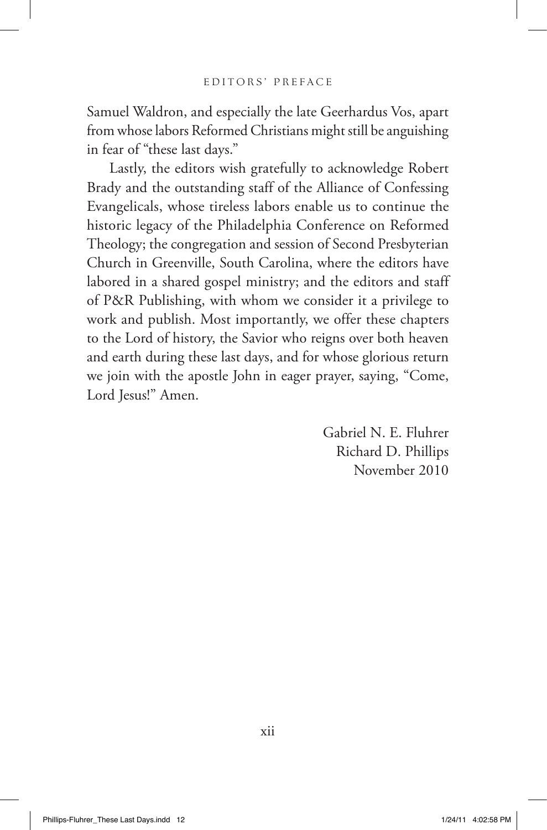Samuel Waldron, and especially the late Geerhardus Vos, apart from whose labors Reformed Christians might still be anguishing in fear of "these last days."

Lastly, the editors wish gratefully to acknowledge Robert Brady and the outstanding staff of the Alliance of Confessing Evangelicals, whose tireless labors enable us to continue the historic legacy of the Philadelphia Conference on Reformed Theology; the congregation and session of Second Presbyterian Church in Greenville, South Carolina, where the editors have labored in a shared gospel ministry; and the editors and staff of P&R Publishing, with whom we consider it a privilege to work and publish. Most importantly, we offer these chapters to the Lord of history, the Savior who reigns over both heaven and earth during these last days, and for whose glorious return we join with the apostle John in eager prayer, saying, "Come, Lord Jesus!" Amen.

> Gabriel N. E. Fluhrer Richard D. Phillips November 2010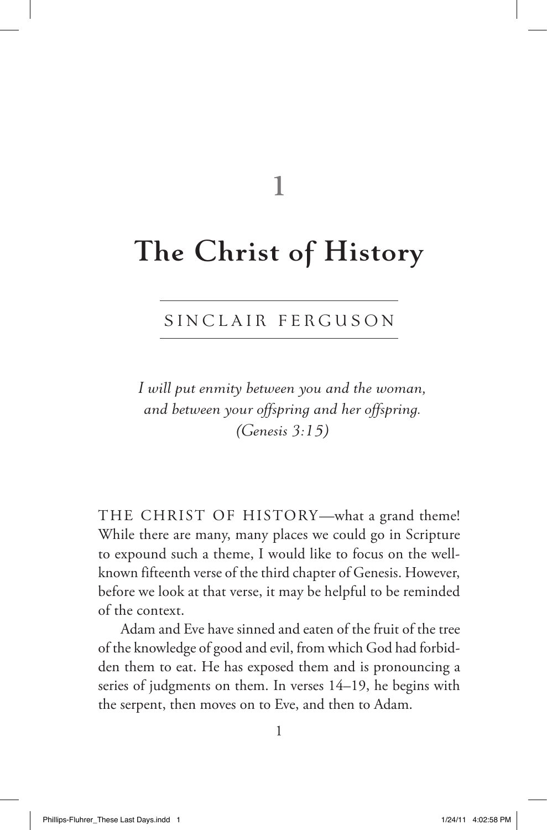## **1**

# **The Christ of History**

## SINCLAIR FERGUSON

*I will put enmity between you and the woman, and between your offspring and her offspring. (Genesis 3:15)*

THE CHRIST OF HISTORY—what a grand theme! While there are many, many places we could go in Scripture to expound such a theme, I would like to focus on the wellknown fifteenth verse of the third chapter of Genesis. However, before we look at that verse, it may be helpful to be reminded of the context.

Adam and Eve have sinned and eaten of the fruit of the tree of the knowledge of good and evil, from which God had forbidden them to eat. He has exposed them and is pronouncing a series of judgments on them. In verses 14–19, he begins with the serpent, then moves on to Eve, and then to Adam.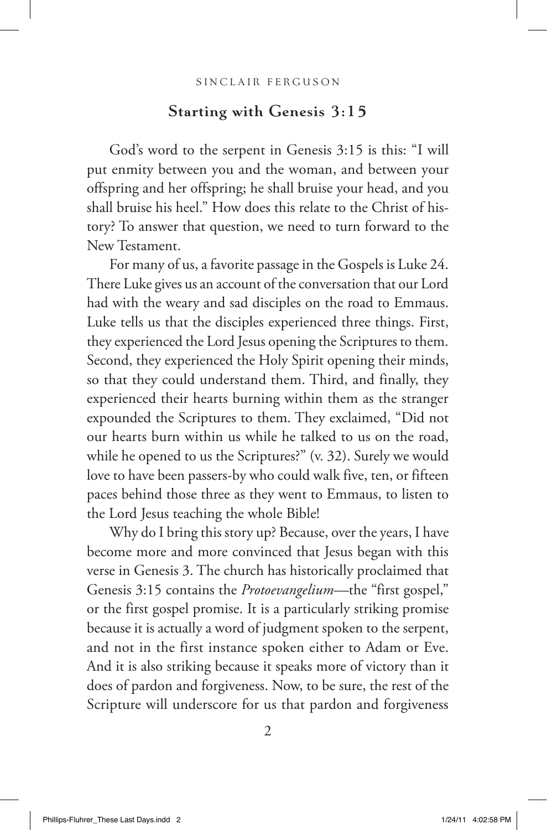## **Starting with Genesis 3:15**

God's word to the serpent in Genesis 3:15 is this: "I will put enmity between you and the woman, and between your offspring and her offspring; he shall bruise your head, and you shall bruise his heel." How does this relate to the Christ of history? To answer that question, we need to turn forward to the New Testament.

For many of us, a favorite passage in the Gospels is Luke 24. There Luke gives us an account of the conversation that our Lord had with the weary and sad disciples on the road to Emmaus. Luke tells us that the disciples experienced three things. First, they experienced the Lord Jesus opening the Scriptures to them. Second, they experienced the Holy Spirit opening their minds, so that they could understand them. Third, and finally, they experienced their hearts burning within them as the stranger expounded the Scriptures to them. They exclaimed, "Did not our hearts burn within us while he talked to us on the road, while he opened to us the Scriptures?" (v. 32). Surely we would love to have been passers-by who could walk five, ten, or fifteen paces behind those three as they went to Emmaus, to listen to the Lord Jesus teaching the whole Bible!

Why do I bring this story up? Because, over the years, I have become more and more convinced that Jesus began with this verse in Genesis 3. The church has historically proclaimed that Genesis 3:15 contains the *Protoevangelium—*the "first gospel," or the first gospel promise. It is a particularly striking promise because it is actually a word of judgment spoken to the serpent, and not in the first instance spoken either to Adam or Eve. And it is also striking because it speaks more of victory than it does of pardon and forgiveness. Now, to be sure, the rest of the Scripture will underscore for us that pardon and forgiveness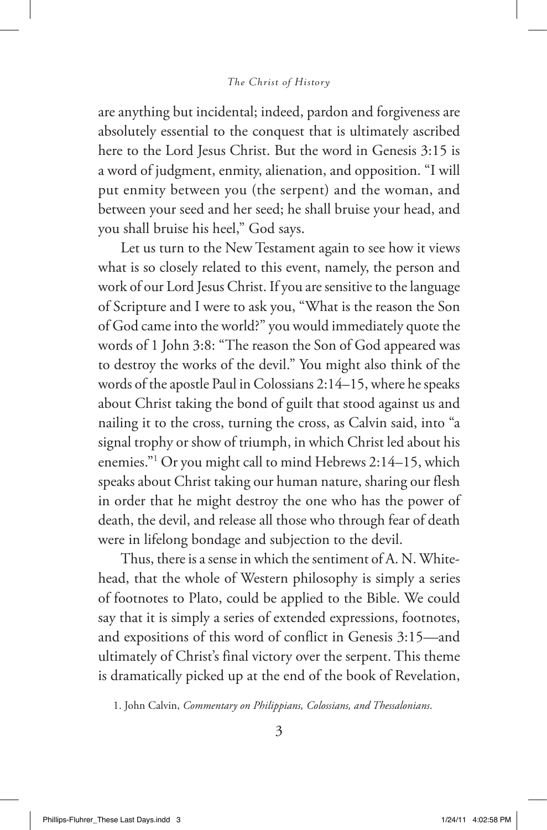#### *The Christ of History*

are anything but incidental; indeed, pardon and forgiveness are absolutely essential to the conquest that is ultimately ascribed here to the Lord Jesus Christ. But the word in Genesis 3:15 is a word of judgment, enmity, alienation, and opposition. "I will put enmity between you (the serpent) and the woman, and between your seed and her seed; he shall bruise your head, and you shall bruise his heel," God says.

Let us turn to the New Testament again to see how it views what is so closely related to this event, namely, the person and work of our Lord Jesus Christ. If you are sensitive to the language of Scripture and I were to ask you, "What is the reason the Son of God came into the world?" you would immediately quote the words of 1 John 3:8: "The reason the Son of God appeared was to destroy the works of the devil." You might also think of the words of the apostle Paul in Colossians 2:14–15, where he speaks about Christ taking the bond of guilt that stood against us and nailing it to the cross, turning the cross, as Calvin said, into "a signal trophy or show of triumph, in which Christ led about his enemies."1 Or you might call to mind Hebrews 2:14–15, which speaks about Christ taking our human nature, sharing our flesh in order that he might destroy the one who has the power of death, the devil, and release all those who through fear of death were in lifelong bondage and subjection to the devil.

Thus, there is a sense in which the sentiment of A. N. Whitehead, that the whole of Western philosophy is simply a series of footnotes to Plato, could be applied to the Bible. We could say that it is simply a series of extended expressions, footnotes, and expositions of this word of conflict in Genesis 3:15—and ultimately of Christ's final victory over the serpent. This theme is dramatically picked up at the end of the book of Revelation,

1. John Calvin, *Commentary on Philippians, Colossians, and Thessalonians*.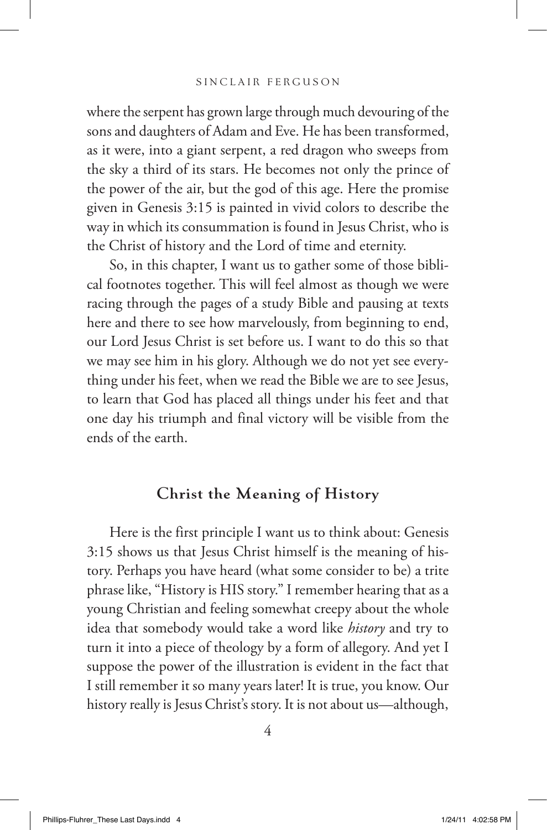where the serpent has grown large through much devouring of the sons and daughters of Adam and Eve. He has been transformed, as it were, into a giant serpent, a red dragon who sweeps from the sky a third of its stars. He becomes not only the prince of the power of the air, but the god of this age. Here the promise given in Genesis 3:15 is painted in vivid colors to describe the way in which its consummation is found in Jesus Christ, who is the Christ of history and the Lord of time and eternity.

So, in this chapter, I want us to gather some of those biblical footnotes together. This will feel almost as though we were racing through the pages of a study Bible and pausing at texts here and there to see how marvelously, from beginning to end, our Lord Jesus Christ is set before us. I want to do this so that we may see him in his glory. Although we do not yet see everything under his feet, when we read the Bible we are to see Jesus, to learn that God has placed all things under his feet and that one day his triumph and final victory will be visible from the ends of the earth.

## **Christ the Meaning of History**

Here is the first principle I want us to think about: Genesis 3:15 shows us that Jesus Christ himself is the meaning of history. Perhaps you have heard (what some consider to be) a trite phrase like, "History is HIS story." I remember hearing that as a young Christian and feeling somewhat creepy about the whole idea that somebody would take a word like *history* and try to turn it into a piece of theology by a form of allegory. And yet I suppose the power of the illustration is evident in the fact that I still remember it so many years later! It is true, you know. Our history really is Jesus Christ's story. It is not about us—although,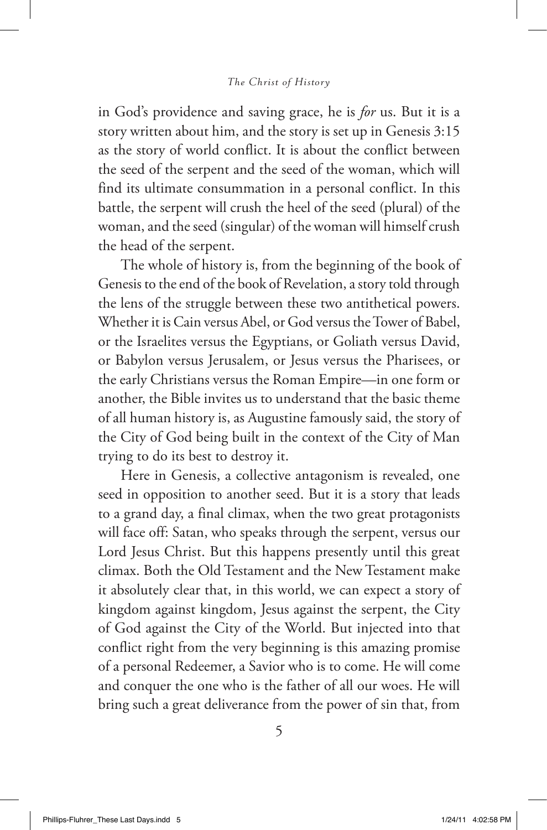in God's providence and saving grace, he is *for* us. But it is a story written about him, and the story is set up in Genesis 3:15 as the story of world conflict. It is about the conflict between the seed of the serpent and the seed of the woman, which will find its ultimate consummation in a personal conflict. In this battle, the serpent will crush the heel of the seed (plural) of the woman, and the seed (singular) of the woman will himself crush the head of the serpent.

The whole of history is, from the beginning of the book of Genesis to the end of the book of Revelation, a story told through the lens of the struggle between these two antithetical powers. Whether it is Cain versus Abel, or God versus the Tower of Babel, or the Israelites versus the Egyptians, or Goliath versus David, or Babylon versus Jerusalem, or Jesus versus the Pharisees, or the early Christians versus the Roman Empire—in one form or another, the Bible invites us to understand that the basic theme of all human history is, as Augustine famously said, the story of the City of God being built in the context of the City of Man trying to do its best to destroy it.

Here in Genesis, a collective antagonism is revealed, one seed in opposition to another seed. But it is a story that leads to a grand day, a final climax, when the two great protagonists will face off: Satan, who speaks through the serpent, versus our Lord Jesus Christ. But this happens presently until this great climax. Both the Old Testament and the New Testament make it absolutely clear that, in this world, we can expect a story of kingdom against kingdom, Jesus against the serpent, the City of God against the City of the World. But injected into that conflict right from the very beginning is this amazing promise of a personal Redeemer, a Savior who is to come. He will come and conquer the one who is the father of all our woes. He will bring such a great deliverance from the power of sin that, from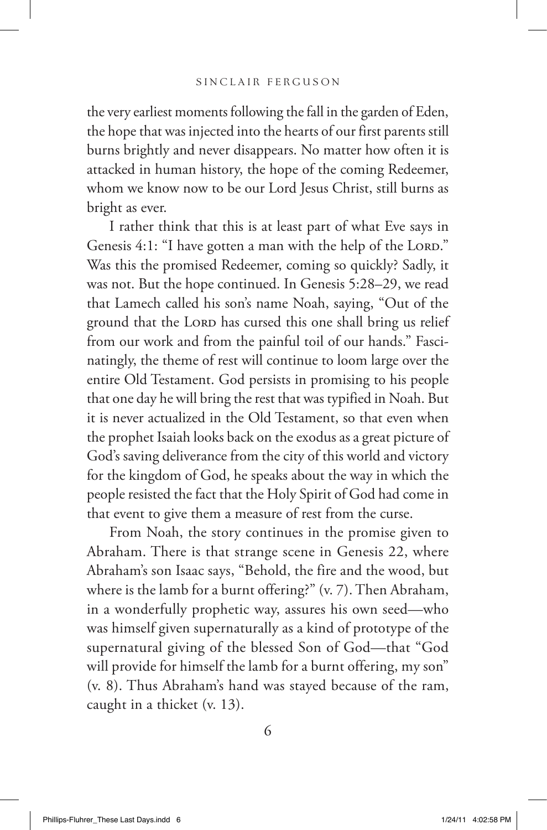the very earliest moments following the fall in the garden of Eden, the hope that was injected into the hearts of our first parents still burns brightly and never disappears. No matter how often it is attacked in human history, the hope of the coming Redeemer, whom we know now to be our Lord Jesus Christ, still burns as bright as ever.

I rather think that this is at least part of what Eve says in Genesis 4:1: "I have gotten a man with the help of the LORD." Was this the promised Redeemer, coming so quickly? Sadly, it was not. But the hope continued. In Genesis 5:28–29, we read that Lamech called his son's name Noah, saying, "Out of the ground that the LORD has cursed this one shall bring us relief from our work and from the painful toil of our hands." Fascinatingly, the theme of rest will continue to loom large over the entire Old Testament. God persists in promising to his people that one day he will bring the rest that was typified in Noah. But it is never actualized in the Old Testament, so that even when the prophet Isaiah looks back on the exodus as a great picture of God's saving deliverance from the city of this world and victory for the kingdom of God, he speaks about the way in which the people resisted the fact that the Holy Spirit of God had come in that event to give them a measure of rest from the curse.

From Noah, the story continues in the promise given to Abraham. There is that strange scene in Genesis 22, where Abraham's son Isaac says, "Behold, the fire and the wood, but where is the lamb for a burnt offering?" (v. 7). Then Abraham, in a wonderfully prophetic way, assures his own seed—who was himself given supernaturally as a kind of prototype of the supernatural giving of the blessed Son of God—that "God will provide for himself the lamb for a burnt offering, my son" (v. 8). Thus Abraham's hand was stayed because of the ram, caught in a thicket (v. 13).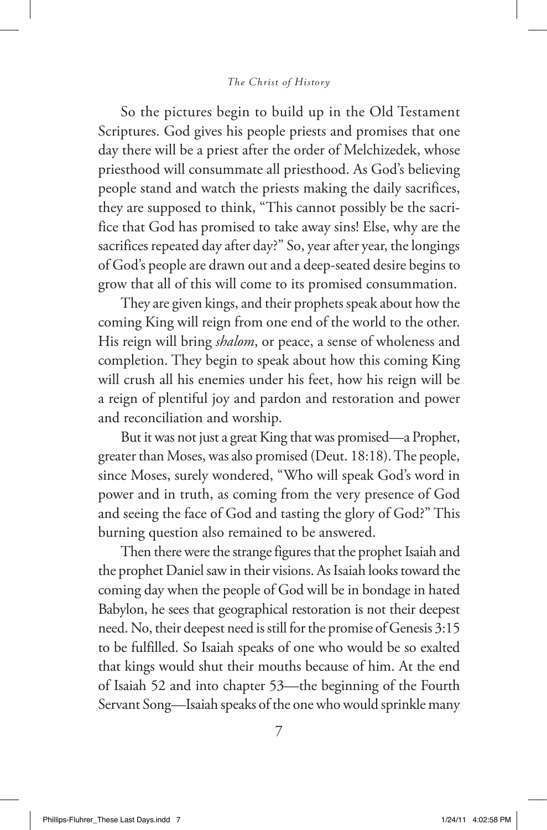#### *The Christ of History*

So the pictures begin to build up in the Old Testament Scriptures. God gives his people priests and promises that one day there will be a priest after the order of Melchizedek, whose priesthood will consummate all priesthood. As God's believing people stand and watch the priests making the daily sacrifices, they are supposed to think, "This cannot possibly be the sacrifice that God has promised to take away sins! Else, why are the sacrifices repeated day after day?" So, year after year, the longings of God's people are drawn out and a deep-seated desire begins to grow that all of this will come to its promised consummation.

They are given kings, and their prophets speak about how the coming King will reign from one end of the world to the other. His reign will bring *shalom*, or peace, a sense of wholeness and completion. They begin to speak about how this coming King will crush all his enemies under his feet, how his reign will be a reign of plentiful joy and pardon and restoration and power and reconciliation and worship.

But it was not just a great King that was promised—a Prophet, greater than Moses, was also promised (Deut. 18:18). The people, since Moses, surely wondered, "Who will speak God's word in power and in truth, as coming from the very presence of God and seeing the face of God and tasting the glory of God?" This burning question also remained to be answered.

Then there were the strange figures that the prophet Isaiah and the prophet Daniel saw in their visions. As Isaiah looks toward the coming day when the people of God will be in bondage in hated Babylon, he sees that geographical restoration is not their deepest need. No, their deepest need is still for the promise of Genesis 3:15 to be fulfilled. So Isaiah speaks of one who would be so exalted that kings would shut their mouths because of him. At the end of Isaiah 52 and into chapter 53—the beginning of the Fourth Servant Song—Isaiah speaks of the one who would sprinkle many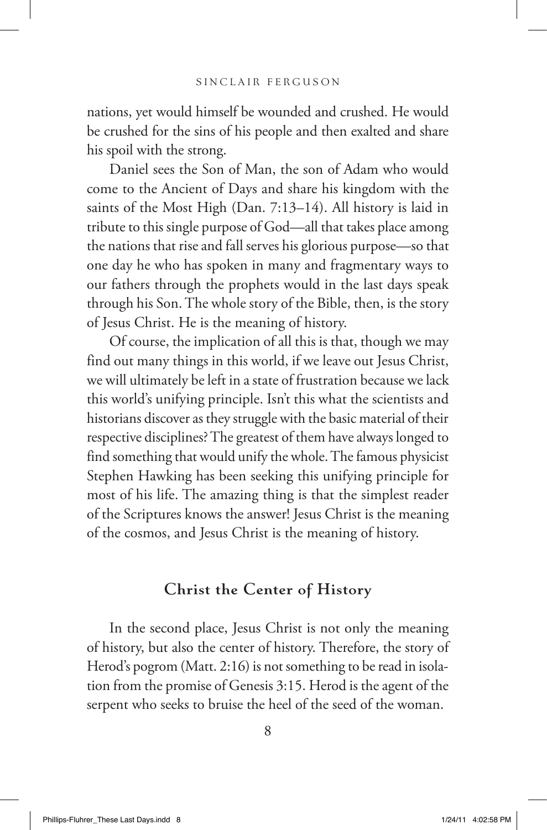nations, yet would himself be wounded and crushed. He would be crushed for the sins of his people and then exalted and share his spoil with the strong.

Daniel sees the Son of Man, the son of Adam who would come to the Ancient of Days and share his kingdom with the saints of the Most High (Dan. 7:13–14). All history is laid in tribute to this single purpose of God—all that takes place among the nations that rise and fall serves his glorious purpose—so that one day he who has spoken in many and fragmentary ways to our fathers through the prophets would in the last days speak through his Son. The whole story of the Bible, then, is the story of Jesus Christ. He is the meaning of history.

Of course, the implication of all this is that, though we may find out many things in this world, if we leave out Jesus Christ, we will ultimately be left in a state of frustration because we lack this world's unifying principle. Isn't this what the scientists and historians discover as they struggle with the basic material of their respective disciplines? The greatest of them have always longed to find something that would unify the whole. The famous physicist Stephen Hawking has been seeking this unifying principle for most of his life. The amazing thing is that the simplest reader of the Scriptures knows the answer! Jesus Christ is the meaning of the cosmos, and Jesus Christ is the meaning of history.

## **Christ the Center of History**

In the second place, Jesus Christ is not only the meaning of history, but also the center of history. Therefore, the story of Herod's pogrom (Matt. 2:16) is not something to be read in isolation from the promise of Genesis 3:15. Herod is the agent of the serpent who seeks to bruise the heel of the seed of the woman.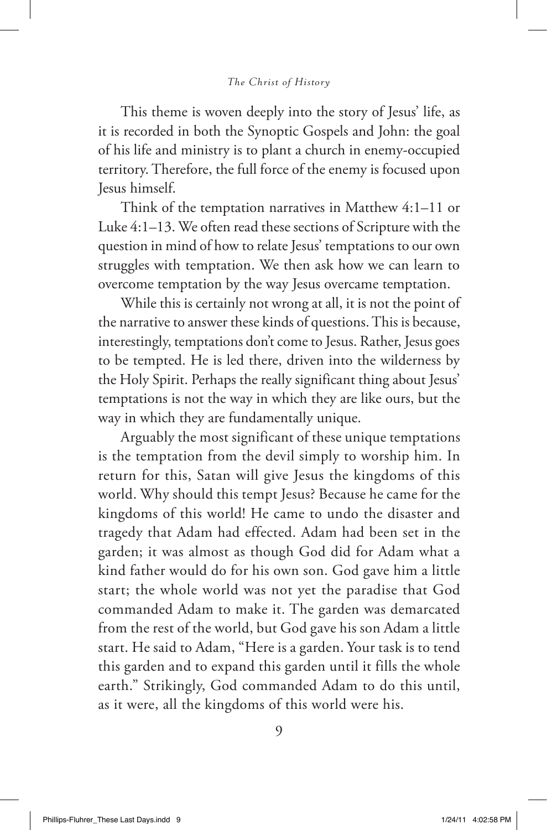### *The Christ of History*

This theme is woven deeply into the story of Jesus' life, as it is recorded in both the Synoptic Gospels and John: the goal of his life and ministry is to plant a church in enemy-occupied territory. Therefore, the full force of the enemy is focused upon Jesus himself.

Think of the temptation narratives in Matthew 4:1–11 or Luke 4:1–13. We often read these sections of Scripture with the question in mind of how to relate Jesus' temptations to our own struggles with temptation. We then ask how we can learn to overcome temptation by the way Jesus overcame temptation.

While this is certainly not wrong at all, it is not the point of the narrative to answer these kinds of questions. This is because, interestingly, temptations don't come to Jesus. Rather, Jesus goes to be tempted. He is led there, driven into the wilderness by the Holy Spirit. Perhaps the really significant thing about Jesus' temptations is not the way in which they are like ours, but the way in which they are fundamentally unique.

Arguably the most significant of these unique temptations is the temptation from the devil simply to worship him. In return for this, Satan will give Jesus the kingdoms of this world. Why should this tempt Jesus? Because he came for the kingdoms of this world! He came to undo the disaster and tragedy that Adam had effected. Adam had been set in the garden; it was almost as though God did for Adam what a kind father would do for his own son. God gave him a little start; the whole world was not yet the paradise that God commanded Adam to make it. The garden was demarcated from the rest of the world, but God gave his son Adam a little start. He said to Adam, "Here is a garden. Your task is to tend this garden and to expand this garden until it fills the whole earth." Strikingly, God commanded Adam to do this until, as it were, all the kingdoms of this world were his.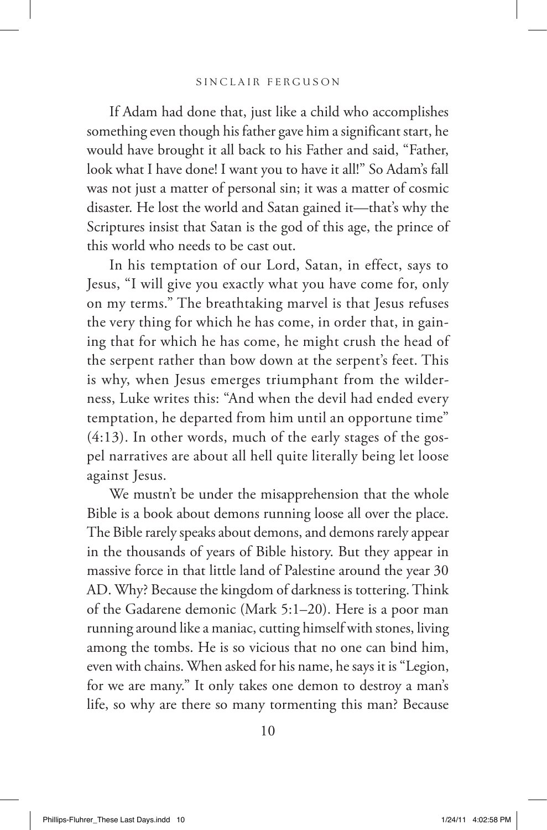If Adam had done that, just like a child who accomplishes something even though his father gave him a significant start, he would have brought it all back to his Father and said, "Father, look what I have done! I want you to have it all!" So Adam's fall was not just a matter of personal sin; it was a matter of cosmic disaster. He lost the world and Satan gained it—that's why the Scriptures insist that Satan is the god of this age, the prince of this world who needs to be cast out.

In his temptation of our Lord, Satan, in effect, says to Jesus, "I will give you exactly what you have come for, only on my terms." The breathtaking marvel is that Jesus refuses the very thing for which he has come, in order that, in gaining that for which he has come, he might crush the head of the serpent rather than bow down at the serpent's feet. This is why, when Jesus emerges triumphant from the wilderness, Luke writes this: "And when the devil had ended every temptation, he departed from him until an opportune time" (4:13). In other words, much of the early stages of the gospel narratives are about all hell quite literally being let loose against Jesus.

We mustn't be under the misapprehension that the whole Bible is a book about demons running loose all over the place. The Bible rarely speaks about demons, and demons rarely appear in the thousands of years of Bible history. But they appear in massive force in that little land of Palestine around the year 30 AD. Why? Because the kingdom of darkness is tottering. Think of the Gadarene demonic (Mark 5:1–20). Here is a poor man running around like a maniac, cutting himself with stones, living among the tombs. He is so vicious that no one can bind him, even with chains. When asked for his name, he says it is "Legion, for we are many." It only takes one demon to destroy a man's life, so why are there so many tormenting this man? Because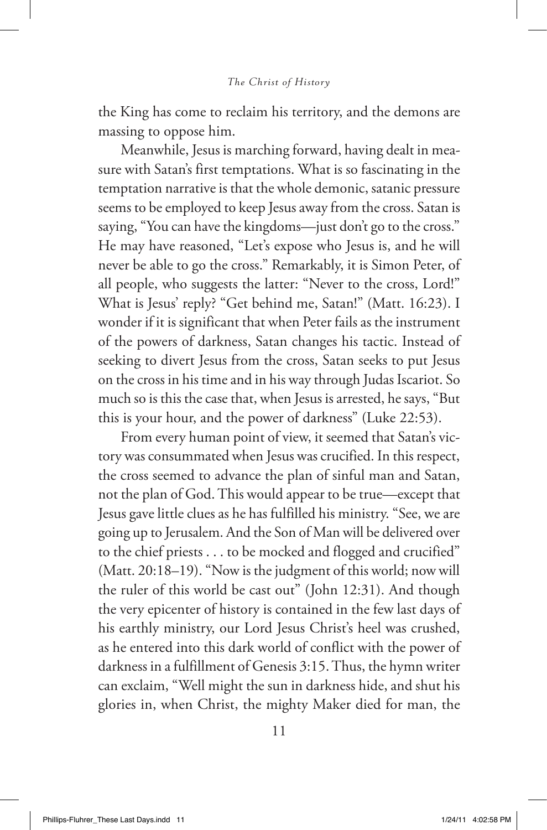the King has come to reclaim his territory, and the demons are massing to oppose him.

Meanwhile, Jesus is marching forward, having dealt in measure with Satan's first temptations. What is so fascinating in the temptation narrative is that the whole demonic, satanic pressure seems to be employed to keep Jesus away from the cross. Satan is saying, "You can have the kingdoms—just don't go to the cross." He may have reasoned, "Let's expose who Jesus is, and he will never be able to go the cross." Remarkably, it is Simon Peter, of all people, who suggests the latter: "Never to the cross, Lord!" What is Jesus' reply? "Get behind me, Satan!" (Matt. 16:23). I wonder if it is significant that when Peter fails as the instrument of the powers of darkness, Satan changes his tactic. Instead of seeking to divert Jesus from the cross, Satan seeks to put Jesus on the cross in his time and in his way through Judas Iscariot. So much so is this the case that, when Jesus is arrested, he says, "But this is your hour, and the power of darkness" (Luke 22:53).

From every human point of view, it seemed that Satan's victory was consummated when Jesus was crucified. In this respect, the cross seemed to advance the plan of sinful man and Satan, not the plan of God. This would appear to be true—except that Jesus gave little clues as he has fulfilled his ministry. "See, we are going up to Jerusalem. And the Son of Man will be delivered over to the chief priests . . . to be mocked and flogged and crucified" (Matt. 20:18–19). "Now is the judgment of this world; now will the ruler of this world be cast out" (John 12:31). And though the very epicenter of history is contained in the few last days of his earthly ministry, our Lord Jesus Christ's heel was crushed, as he entered into this dark world of conflict with the power of darkness in a fulfillment of Genesis 3:15. Thus, the hymn writer can exclaim, "Well might the sun in darkness hide, and shut his glories in, when Christ, the mighty Maker died for man, the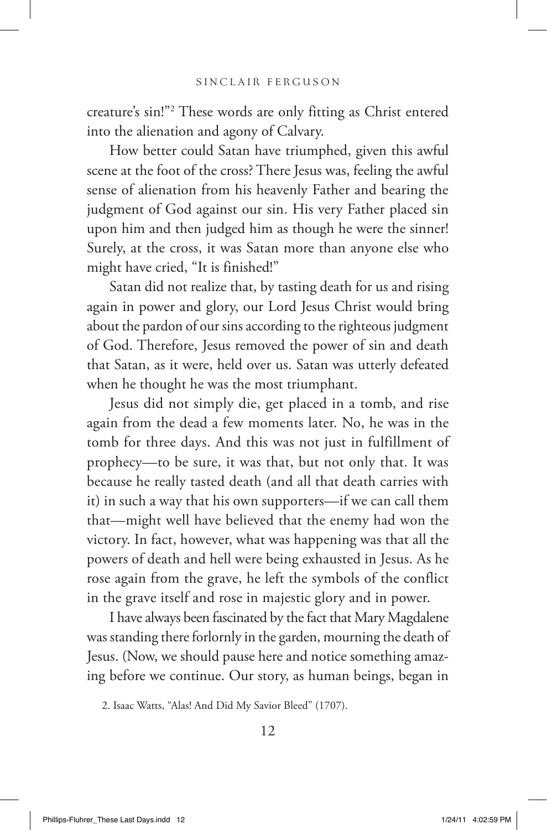creature's sin!"2 These words are only fitting as Christ entered into the alienation and agony of Calvary.

How better could Satan have triumphed, given this awful scene at the foot of the cross? There Jesus was, feeling the awful sense of alienation from his heavenly Father and bearing the judgment of God against our sin. His very Father placed sin upon him and then judged him as though he were the sinner! Surely, at the cross, it was Satan more than anyone else who might have cried, "It is finished!"

Satan did not realize that, by tasting death for us and rising again in power and glory, our Lord Jesus Christ would bring about the pardon of our sins according to the righteous judgment of God. Therefore, Jesus removed the power of sin and death that Satan, as it were, held over us. Satan was utterly defeated when he thought he was the most triumphant.

Jesus did not simply die, get placed in a tomb, and rise again from the dead a few moments later. No, he was in the tomb for three days. And this was not just in fulfillment of prophecy—to be sure, it was that, but not only that. It was because he really tasted death (and all that death carries with it) in such a way that his own supporters—if we can call them that—might well have believed that the enemy had won the victory. In fact, however, what was happening was that all the powers of death and hell were being exhausted in Jesus. As he rose again from the grave, he left the symbols of the conflict in the grave itself and rose in majestic glory and in power.

I have always been fascinated by the fact that Mary Magdalene was standing there forlornly in the garden, mourning the death of Jesus. (Now, we should pause here and notice something amazing before we continue. Our story, as human beings, began in

<sup>2.</sup> Isaac Watts, "Alas! And Did My Savior Bleed" (1707).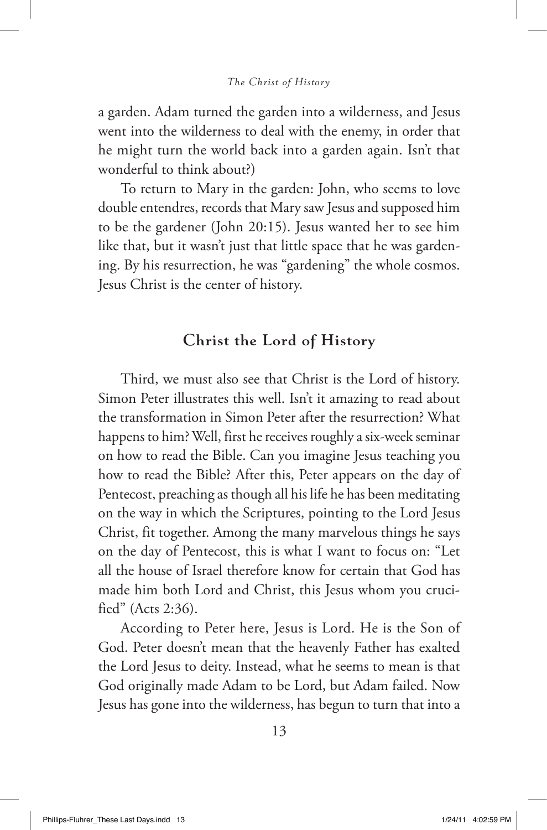a garden. Adam turned the garden into a wilderness, and Jesus went into the wilderness to deal with the enemy, in order that he might turn the world back into a garden again. Isn't that wonderful to think about?)

To return to Mary in the garden: John, who seems to love double entendres, records that Mary saw Jesus and supposed him to be the gardener (John 20:15). Jesus wanted her to see him like that, but it wasn't just that little space that he was gardening. By his resurrection, he was "gardening" the whole cosmos. Jesus Christ is the center of history.

## **Christ the Lord of History**

Third, we must also see that Christ is the Lord of history. Simon Peter illustrates this well. Isn't it amazing to read about the transformation in Simon Peter after the resurrection? What happens to him? Well, first he receives roughly a six-week seminar on how to read the Bible. Can you imagine Jesus teaching you how to read the Bible? After this, Peter appears on the day of Pentecost, preaching as though all his life he has been meditating on the way in which the Scriptures, pointing to the Lord Jesus Christ, fit together. Among the many marvelous things he says on the day of Pentecost, this is what I want to focus on: "Let all the house of Israel therefore know for certain that God has made him both Lord and Christ, this Jesus whom you crucified" (Acts 2:36).

According to Peter here, Jesus is Lord. He is the Son of God. Peter doesn't mean that the heavenly Father has exalted the Lord Jesus to deity. Instead, what he seems to mean is that God originally made Adam to be Lord, but Adam failed. Now Jesus has gone into the wilderness, has begun to turn that into a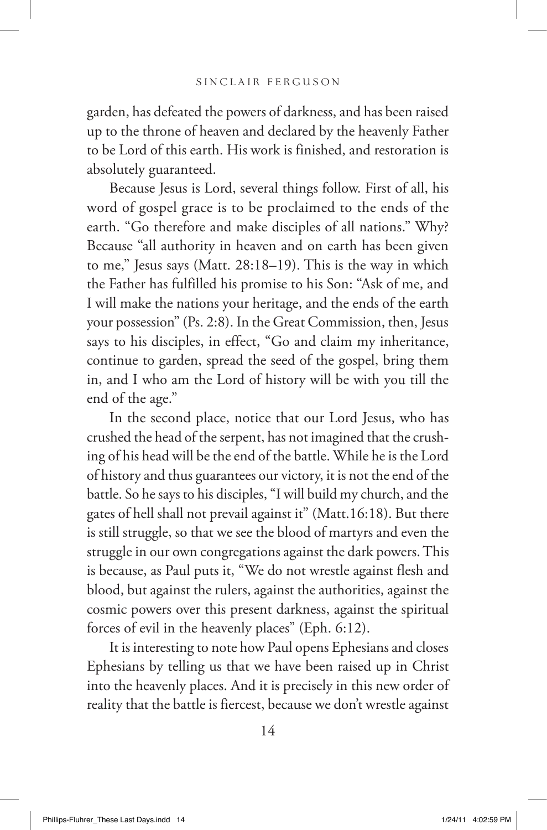garden, has defeated the powers of darkness, and has been raised up to the throne of heaven and declared by the heavenly Father to be Lord of this earth. His work is finished, and restoration is absolutely guaranteed.

Because Jesus is Lord, several things follow. First of all, his word of gospel grace is to be proclaimed to the ends of the earth. "Go therefore and make disciples of all nations." Why? Because "all authority in heaven and on earth has been given to me," Jesus says (Matt. 28:18–19). This is the way in which the Father has fulfilled his promise to his Son: "Ask of me, and I will make the nations your heritage, and the ends of the earth your possession" (Ps. 2:8). In the Great Commission, then, Jesus says to his disciples, in effect, "Go and claim my inheritance, continue to garden, spread the seed of the gospel, bring them in, and I who am the Lord of history will be with you till the end of the age."

In the second place, notice that our Lord Jesus, who has crushed the head of the serpent, has not imagined that the crushing of his head will be the end of the battle. While he is the Lord of history and thus guarantees our victory, it is not the end of the battle. So he says to his disciples, "I will build my church, and the gates of hell shall not prevail against it" (Matt.16:18). But there is still struggle, so that we see the blood of martyrs and even the struggle in our own congregations against the dark powers. This is because, as Paul puts it, "We do not wrestle against flesh and blood, but against the rulers, against the authorities, against the cosmic powers over this present darkness, against the spiritual forces of evil in the heavenly places" (Eph. 6:12).

It is interesting to note how Paul opens Ephesians and closes Ephesians by telling us that we have been raised up in Christ into the heavenly places. And it is precisely in this new order of reality that the battle is fiercest, because we don't wrestle against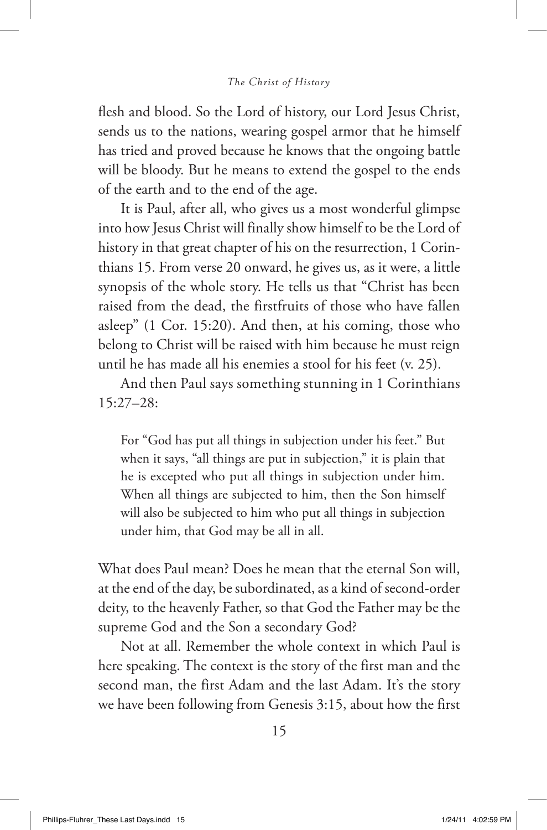flesh and blood. So the Lord of history, our Lord Jesus Christ, sends us to the nations, wearing gospel armor that he himself has tried and proved because he knows that the ongoing battle will be bloody. But he means to extend the gospel to the ends of the earth and to the end of the age.

It is Paul, after all, who gives us a most wonderful glimpse into how Jesus Christ will finally show himself to be the Lord of history in that great chapter of his on the resurrection, 1 Corinthians 15. From verse 20 onward, he gives us, as it were, a little synopsis of the whole story. He tells us that "Christ has been raised from the dead, the firstfruits of those who have fallen asleep" (1 Cor. 15:20). And then, at his coming, those who belong to Christ will be raised with him because he must reign until he has made all his enemies a stool for his feet (v. 25).

And then Paul says something stunning in 1 Corinthians 15:27–28:

For "God has put all things in subjection under his feet." But when it says, "all things are put in subjection," it is plain that he is excepted who put all things in subjection under him. When all things are subjected to him, then the Son himself will also be subjected to him who put all things in subjection under him, that God may be all in all.

What does Paul mean? Does he mean that the eternal Son will, at the end of the day, be subordinated, as a kind of second-order deity, to the heavenly Father, so that God the Father may be the supreme God and the Son a secondary God?

Not at all. Remember the whole context in which Paul is here speaking. The context is the story of the first man and the second man, the first Adam and the last Adam. It's the story we have been following from Genesis 3:15, about how the first